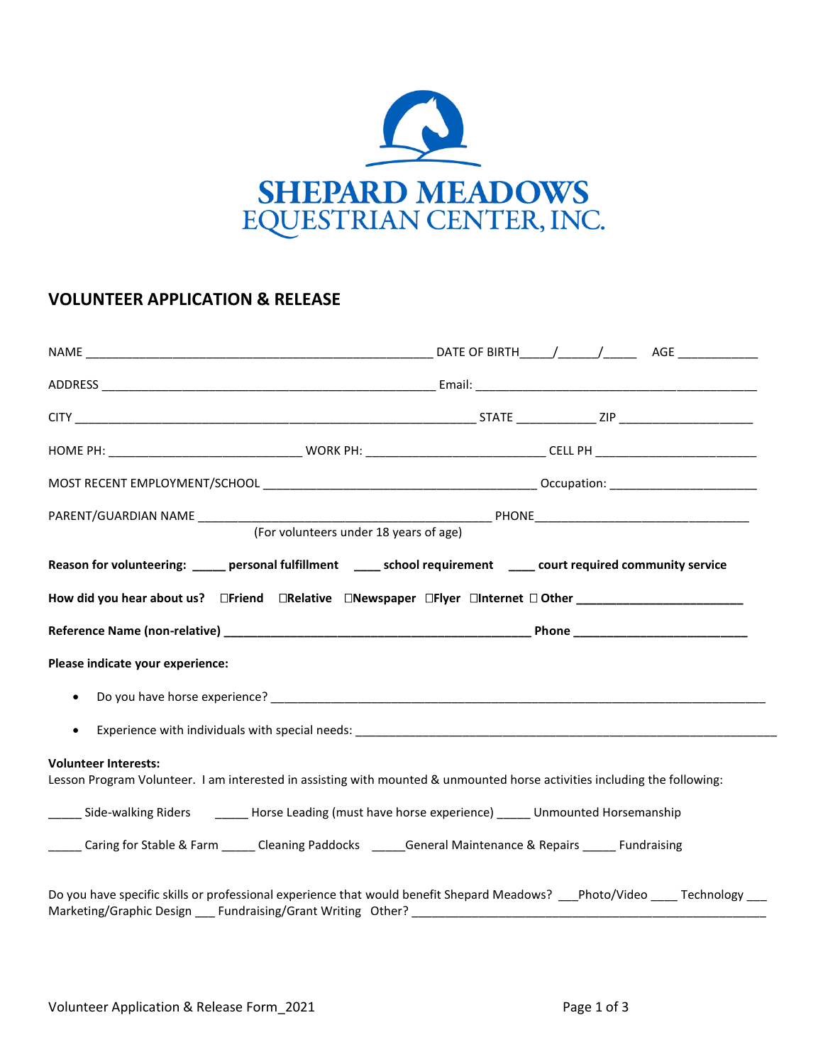

# **VOLUNTEER APPLICATION & RELEASE**

|                                                           | (For volunteers under 18 years of age)                                                                                     |
|-----------------------------------------------------------|----------------------------------------------------------------------------------------------------------------------------|
|                                                           | Reason for volunteering: _____ personal fulfillment _____ school requirement _____ court required community service        |
|                                                           | How did you hear about us? □Friend □Relative □Newspaper □Flyer □Internet □ Other ________________________                  |
|                                                           |                                                                                                                            |
| Please indicate your experience:                          |                                                                                                                            |
| $\bullet$                                                 |                                                                                                                            |
| $\bullet$                                                 |                                                                                                                            |
| <b>Volunteer Interests:</b>                               | Lesson Program Volunteer. I am interested in assisting with mounted & unmounted horse activities including the following:  |
|                                                           | _____ Side-walking Riders ________ Horse Leading (must have horse experience) _____ Unmounted Horsemanship                 |
|                                                           | _____ Caring for Stable & Farm _____ Cleaning Paddocks _____General Maintenance & Repairs _____ Fundraising                |
| Marketing/Graphic Design Fundraising/Grant Writing Other? | Do you have specific skills or professional experience that would benefit Shepard Meadows? __Photo/Video ___ Technology __ |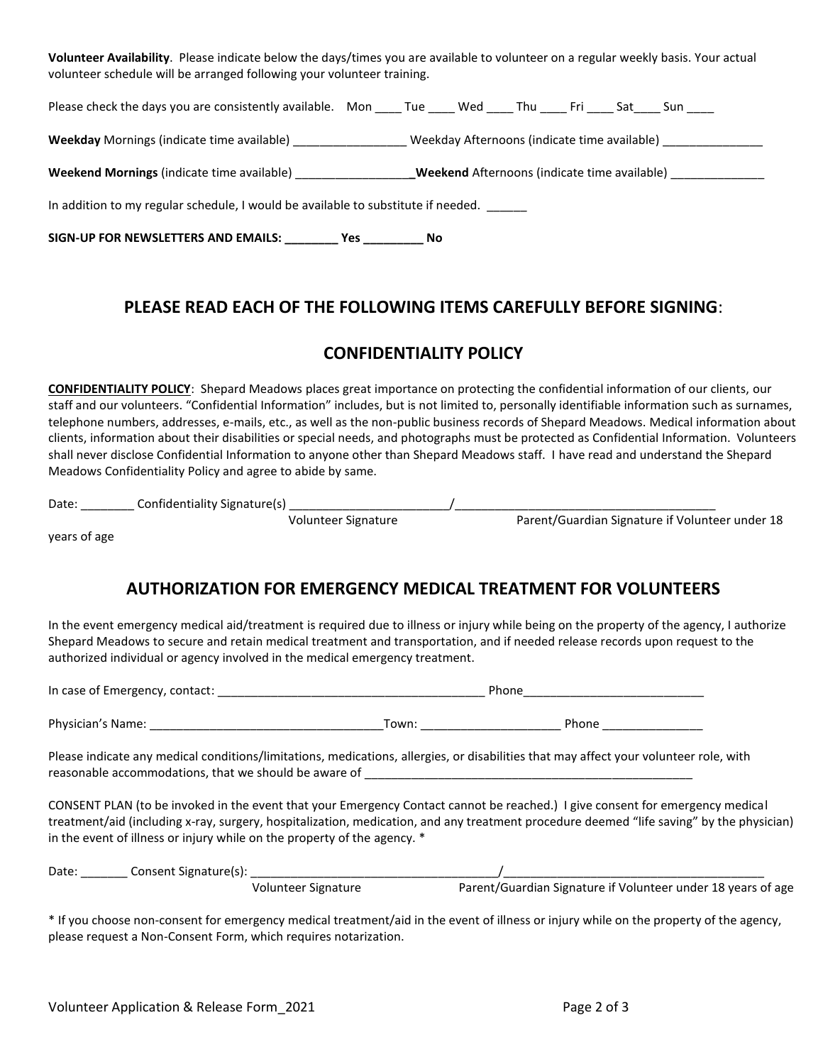**Volunteer Availability**. Please indicate below the days/times you are available to volunteer on a regular weekly basis. Your actual volunteer schedule will be arranged following your volunteer training.

| Please check the days you are consistently available. Mon _____ Tue ______ Wed ______ Thu ______ Fri _____ Sat _____ Sun _____ |  |                                                     |  |  |                                                               |
|--------------------------------------------------------------------------------------------------------------------------------|--|-----------------------------------------------------|--|--|---------------------------------------------------------------|
| Weekday Mornings (indicate time available) __________________                                                                  |  |                                                     |  |  | Weekday Afternoons (indicate time available) ________________ |
| <b>Weekend Mornings</b> (indicate time available)                                                                              |  | <b>Weekend</b> Afternoons (indicate time available) |  |  |                                                               |
| In addition to my regular schedule, I would be available to substitute if needed.                                              |  |                                                     |  |  |                                                               |
| SIGN-UP FOR NEWSLETTERS AND EMAILS: __________ Yes ___________ No                                                              |  |                                                     |  |  |                                                               |

# **PLEASE READ EACH OF THE FOLLOWING ITEMS CAREFULLY BEFORE SIGNING**:

### **CONFIDENTIALITY POLICY**

**CONFIDENTIALITY POLICY**: Shepard Meadows places great importance on protecting the confidential information of our clients, our staff and our volunteers. "Confidential Information" includes, but is not limited to, personally identifiable information such as surnames, telephone numbers, addresses, e-mails, etc., as well as the non-public business records of Shepard Meadows. Medical information about clients, information about their disabilities or special needs, and photographs must be protected as Confidential Information. Volunteers shall never disclose Confidential Information to anyone other than Shepard Meadows staff. I have read and understand the Shepard Meadows Confidentiality Policy and agree to abide by same.

| Date | Confidentiality <b>C</b> | nature(s)<br>sier i<br>. . |  |  |
|------|--------------------------|----------------------------|--|--|
|      |                          |                            |  |  |

Volunteer Signature **Parent/Guardian Signature if Volunteer under 18** 

years of age

# **AUTHORIZATION FOR EMERGENCY MEDICAL TREATMENT FOR VOLUNTEERS**

In the event emergency medical aid/treatment is required due to illness or injury while being on the property of the agency, I authorize Shepard Meadows to secure and retain medical treatment and transportation, and if needed release records upon request to the authorized individual or agency involved in the medical emergency treatment.

In case of Emergency, contact: \_\_\_\_\_\_\_\_\_\_\_\_\_\_\_\_\_\_\_\_\_\_\_\_\_\_\_\_\_\_\_\_\_\_\_\_\_\_\_\_ Phone\_\_\_\_\_\_\_\_\_\_\_\_\_\_\_\_\_\_\_\_\_\_\_\_\_\_\_

Physician's Name: \_\_\_\_\_\_\_\_\_\_\_\_\_\_\_\_\_\_\_\_\_\_\_\_\_\_\_\_\_\_\_\_\_\_\_Town: \_\_\_\_\_\_\_\_\_\_\_\_\_\_\_\_\_\_\_\_\_ Phone \_\_\_\_\_\_\_\_\_\_\_\_\_\_\_

Please indicate any medical conditions/limitations, medications, allergies, or disabilities that may affect your volunteer role, with reasonable accommodations, that we should be aware of

CONSENT PLAN (to be invoked in the event that your Emergency Contact cannot be reached.) I give consent for emergency medical treatment/aid (including x-ray, surgery, hospitalization, medication, and any treatment procedure deemed "life saving" by the physician) in the event of illness or injury while on the property of the agency. \*

| Date: | Consent Signature(s): |                     |                                                              |
|-------|-----------------------|---------------------|--------------------------------------------------------------|
|       |                       | Volunteer Signature | Parent/Guardian Signature if Volunteer under 18 years of age |

\* If you choose non-consent for emergency medical treatment/aid in the event of illness or injury while on the property of the agency, please request a Non-Consent Form, which requires notarization.